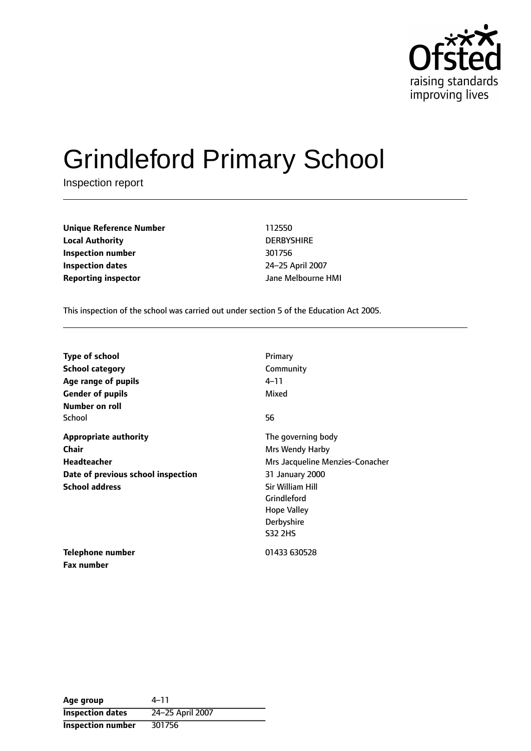

# Grindleford Primary School

Inspection report

**Unique Reference Number** 112550 **Local Authority** DERBYSHIRE **Inspection number** 301756 **Inspection dates** 24-25 April 2007 **Reporting inspector and a structure HMI** Jane Melbourne HMI

**Fax number**

This inspection of the school was carried out under section 5 of the Education Act 2005.

| <b>Type of school</b>              | Primary                         |
|------------------------------------|---------------------------------|
| <b>School category</b>             | Community                       |
| Age range of pupils                | 4–11                            |
| <b>Gender of pupils</b>            | Mixed                           |
| Number on roll                     |                                 |
| School                             | 56                              |
| <b>Appropriate authority</b>       | The governing body              |
| Chair                              | Mrs Wendy Harby                 |
| <b>Headteacher</b>                 | Mrs Jacqueline Menzies-Conacher |
| Date of previous school inspection | 31 January 2000                 |
| <b>School address</b>              | <b>Sir William Hill</b>         |
|                                    | Grindleford                     |
|                                    | <b>Hope Valley</b>              |
|                                    | Derbyshire                      |
|                                    | <b>S32 2HS</b>                  |
| Telephone number                   | 01433 630528                    |

Age group 4-11 **Inspection dates** 24-25 April 2007 **Inspection number** 301756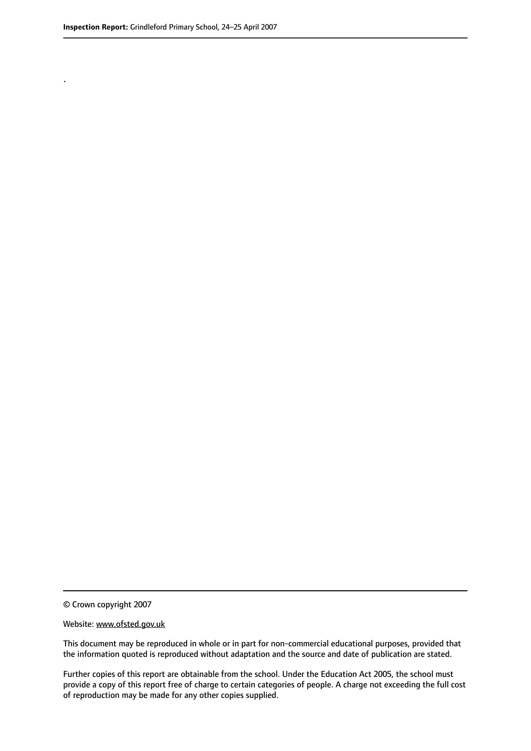.

© Crown copyright 2007

#### Website: www.ofsted.gov.uk

This document may be reproduced in whole or in part for non-commercial educational purposes, provided that the information quoted is reproduced without adaptation and the source and date of publication are stated.

Further copies of this report are obtainable from the school. Under the Education Act 2005, the school must provide a copy of this report free of charge to certain categories of people. A charge not exceeding the full cost of reproduction may be made for any other copies supplied.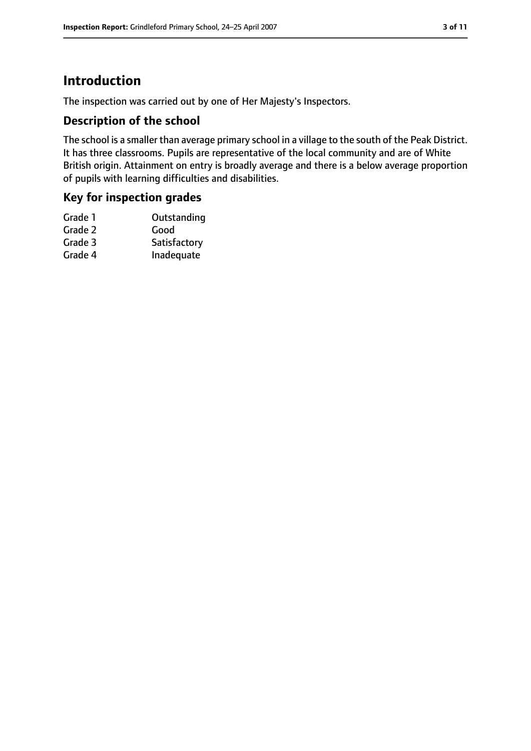## **Introduction**

The inspection was carried out by one of Her Majesty's Inspectors.

#### **Description of the school**

The school is a smaller than average primary school in a village to the south of the Peak District. It has three classrooms. Pupils are representative of the local community and are of White British origin. Attainment on entry is broadly average and there is a below average proportion of pupils with learning difficulties and disabilities.

#### **Key for inspection grades**

| Grade 1 | Outstanding  |
|---------|--------------|
| Grade 2 | Good         |
| Grade 3 | Satisfactory |
| Grade 4 | Inadequate   |
|         |              |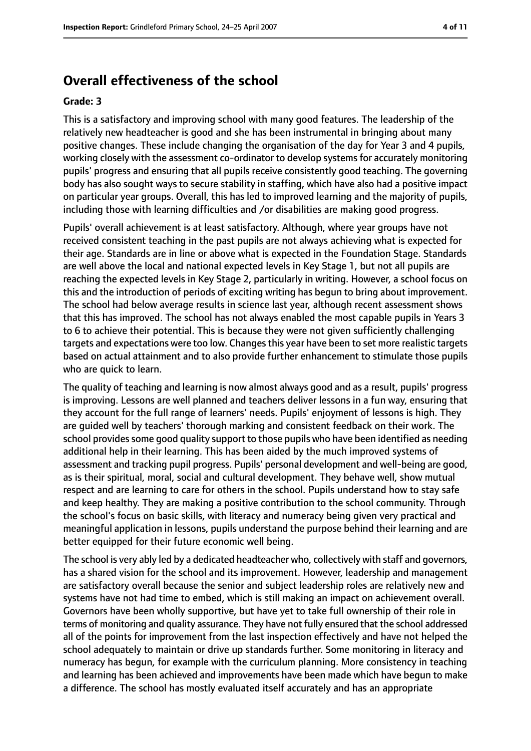## **Overall effectiveness of the school**

#### **Grade: 3**

This is a satisfactory and improving school with many good features. The leadership of the relatively new headteacher is good and she has been instrumental in bringing about many positive changes. These include changing the organisation of the day for Year 3 and 4 pupils, working closely with the assessment co-ordinator to develop systems for accurately monitoring pupils' progress and ensuring that all pupils receive consistently good teaching. The governing body has also sought ways to secure stability in staffing, which have also had a positive impact on particular year groups. Overall, this has led to improved learning and the majority of pupils, including those with learning difficulties and /or disabilities are making good progress.

Pupils' overall achievement is at least satisfactory. Although, where year groups have not received consistent teaching in the past pupils are not always achieving what is expected for their age. Standards are in line or above what is expected in the Foundation Stage. Standards are well above the local and national expected levels in Key Stage 1, but not all pupils are reaching the expected levels in Key Stage 2, particularly in writing. However, a school focus on this and the introduction of periods of exciting writing has begun to bring about improvement. The school had below average results in science last year, although recent assessment shows that this has improved. The school has not always enabled the most capable pupils in Years 3 to 6 to achieve their potential. This is because they were not given sufficiently challenging targets and expectations were too low. Changesthis year have been to set more realistic targets based on actual attainment and to also provide further enhancement to stimulate those pupils who are quick to learn.

The quality of teaching and learning is now almost always good and as a result, pupils' progress is improving. Lessons are well planned and teachers deliver lessons in a fun way, ensuring that they account for the full range of learners' needs. Pupils' enjoyment of lessons is high. They are guided well by teachers' thorough marking and consistent feedback on their work. The school provides some good quality support to those pupils who have been identified as needing additional help in their learning. This has been aided by the much improved systems of assessment and tracking pupil progress. Pupils' personal development and well-being are good, as is their spiritual, moral, social and cultural development. They behave well, show mutual respect and are learning to care for others in the school. Pupils understand how to stay safe and keep healthy. They are making a positive contribution to the school community. Through the school's focus on basic skills, with literacy and numeracy being given very practical and meaningful application in lessons, pupils understand the purpose behind their learning and are better equipped for their future economic well being.

The school is very ably led by a dedicated headteacher who, collectively with staff and governors, has a shared vision for the school and its improvement. However, leadership and management are satisfactory overall because the senior and subject leadership roles are relatively new and systems have not had time to embed, which is still making an impact on achievement overall. Governors have been wholly supportive, but have yet to take full ownership of their role in terms of monitoring and quality assurance. They have not fully ensured that the school addressed all of the points for improvement from the last inspection effectively and have not helped the school adequately to maintain or drive up standards further. Some monitoring in literacy and numeracy has begun, for example with the curriculum planning. More consistency in teaching and learning has been achieved and improvements have been made which have begun to make a difference. The school has mostly evaluated itself accurately and has an appropriate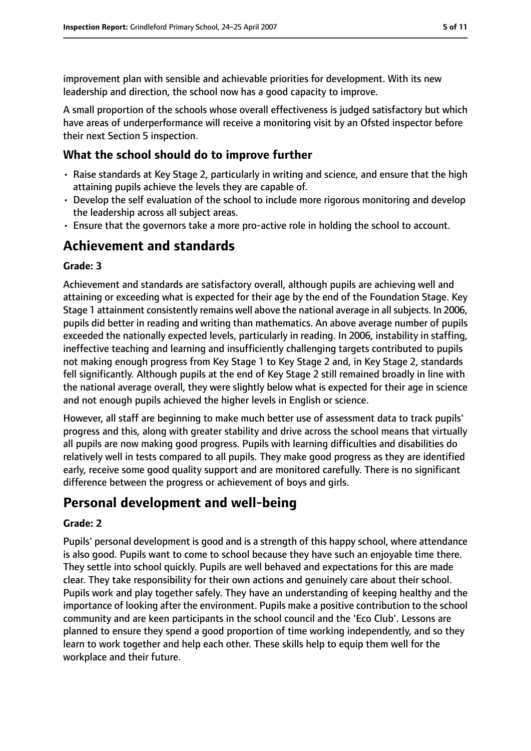improvement plan with sensible and achievable priorities for development. With its new leadership and direction, the school now has a good capacity to improve.

A small proportion of the schools whose overall effectiveness is judged satisfactory but which have areas of underperformance will receive a monitoring visit by an Ofsted inspector before their next Section 5 inspection.

#### **What the school should do to improve further**

- Raise standards at Key Stage 2, particularly in writing and science, and ensure that the high attaining pupils achieve the levels they are capable of.
- Develop the self evaluation of the school to include more rigorous monitoring and develop the leadership across all subject areas.
- Ensure that the governors take a more pro-active role in holding the school to account.

## **Achievement and standards**

#### **Grade: 3**

Achievement and standards are satisfactory overall, although pupils are achieving well and attaining or exceeding what is expected for their age by the end of the Foundation Stage. Key Stage 1 attainment consistently remains well above the national average in all subjects. In 2006, pupils did better in reading and writing than mathematics. An above average number of pupils exceeded the nationally expected levels, particularly in reading. In 2006, instability in staffing, ineffective teaching and learning and insufficiently challenging targets contributed to pupils not making enough progress from Key Stage 1 to Key Stage 2 and, in Key Stage 2, standards fell significantly. Although pupils at the end of Key Stage 2 still remained broadly in line with the national average overall, they were slightly below what is expected for their age in science and not enough pupils achieved the higher levels in English or science.

However, all staff are beginning to make much better use of assessment data to track pupils' progress and this, along with greater stability and drive across the school means that virtually all pupils are now making good progress. Pupils with learning difficulties and disabilities do relatively well in tests compared to all pupils. They make good progress as they are identified early, receive some good quality support and are monitored carefully. There is no significant difference between the progress or achievement of boys and girls.

## **Personal development and well-being**

#### **Grade: 2**

Pupils' personal development is good and is a strength of this happy school, where attendance is also good. Pupils want to come to school because they have such an enjoyable time there. They settle into school quickly. Pupils are well behaved and expectations for this are made clear. They take responsibility for their own actions and genuinely care about their school. Pupils work and play together safely. They have an understanding of keeping healthy and the importance of looking after the environment. Pupils make a positive contribution to the school community and are keen participants in the school council and the 'Eco Club'. Lessons are planned to ensure they spend a good proportion of time working independently, and so they learn to work together and help each other. These skills help to equip them well for the workplace and their future.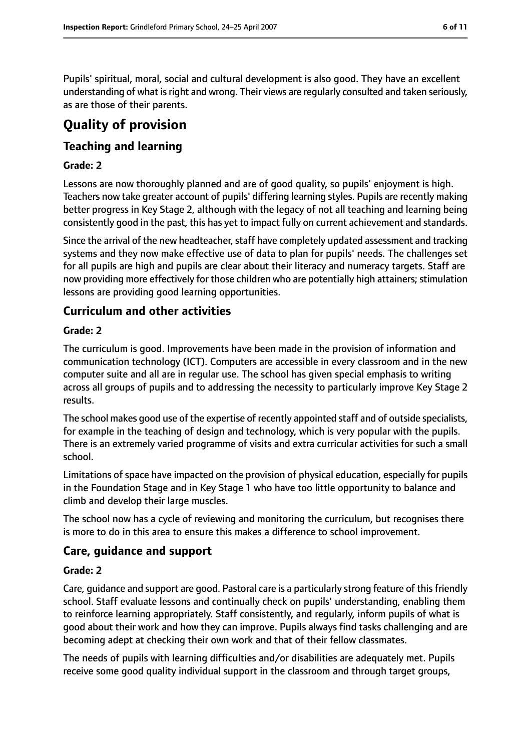Pupils' spiritual, moral, social and cultural development is also good. They have an excellent understanding of what is right and wrong. Their views are regularly consulted and taken seriously, as are those of their parents.

# **Quality of provision**

## **Teaching and learning**

#### **Grade: 2**

Lessons are now thoroughly planned and are of good quality, so pupils' enjoyment is high. Teachers now take greater account of pupils' differing learning styles. Pupils are recently making better progress in Key Stage 2, although with the legacy of not all teaching and learning being consistently good in the past, this has yet to impact fully on current achievement and standards.

Since the arrival of the new headteacher, staff have completely updated assessment and tracking systems and they now make effective use of data to plan for pupils' needs. The challenges set for all pupils are high and pupils are clear about their literacy and numeracy targets. Staff are now providing more effectively for those children who are potentially high attainers; stimulation lessons are providing good learning opportunities.

#### **Curriculum and other activities**

#### **Grade: 2**

The curriculum is good. Improvements have been made in the provision of information and communication technology (ICT). Computers are accessible in every classroom and in the new computer suite and all are in regular use. The school has given special emphasis to writing across all groups of pupils and to addressing the necessity to particularly improve Key Stage 2 results.

The school makes good use of the expertise of recently appointed staff and of outside specialists, for example in the teaching of design and technology, which is very popular with the pupils. There is an extremely varied programme of visits and extra curricular activities for such a small school.

Limitations of space have impacted on the provision of physical education, especially for pupils in the Foundation Stage and in Key Stage 1 who have too little opportunity to balance and climb and develop their large muscles.

The school now has a cycle of reviewing and monitoring the curriculum, but recognises there is more to do in this area to ensure this makes a difference to school improvement.

#### **Care, guidance and support**

#### **Grade: 2**

Care, guidance and support are good. Pastoral care is a particularly strong feature of this friendly school. Staff evaluate lessons and continually check on pupils' understanding, enabling them to reinforce learning appropriately. Staff consistently, and regularly, inform pupils of what is good about their work and how they can improve. Pupils always find tasks challenging and are becoming adept at checking their own work and that of their fellow classmates.

The needs of pupils with learning difficulties and/or disabilities are adequately met. Pupils receive some good quality individual support in the classroom and through target groups,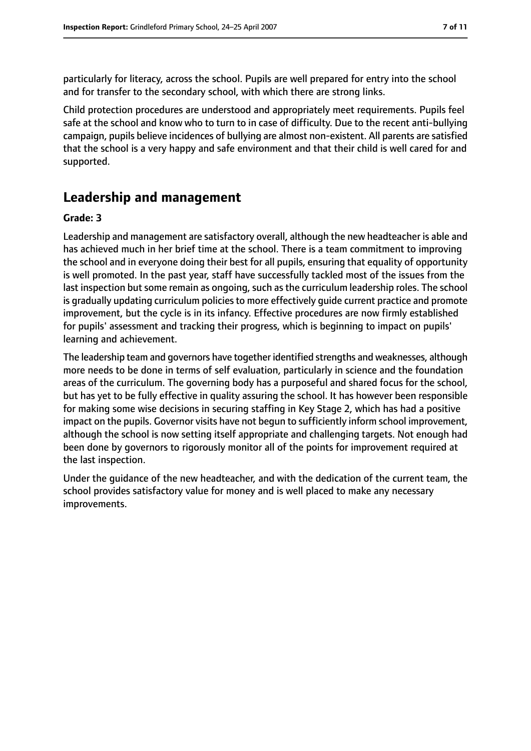particularly for literacy, across the school. Pupils are well prepared for entry into the school and for transfer to the secondary school, with which there are strong links.

Child protection procedures are understood and appropriately meet requirements. Pupils feel safe at the school and know who to turn to in case of difficulty. Due to the recent anti-bullying campaign, pupils believe incidences of bullying are almost non-existent. All parents are satisfied that the school is a very happy and safe environment and that their child is well cared for and supported.

## **Leadership and management**

#### **Grade: 3**

Leadership and management are satisfactory overall, although the new headteacher is able and has achieved much in her brief time at the school. There is a team commitment to improving the school and in everyone doing their best for all pupils, ensuring that equality of opportunity is well promoted. In the past year, staff have successfully tackled most of the issues from the last inspection but some remain as ongoing, such as the curriculum leadership roles. The school is gradually updating curriculum policies to more effectively guide current practice and promote improvement, but the cycle is in its infancy. Effective procedures are now firmly established for pupils' assessment and tracking their progress, which is beginning to impact on pupils' learning and achievement.

The leadership team and governors have together identified strengths and weaknesses, although more needs to be done in terms of self evaluation, particularly in science and the foundation areas of the curriculum. The governing body has a purposeful and shared focus for the school, but has yet to be fully effective in quality assuring the school. It has however been responsible for making some wise decisions in securing staffing in Key Stage 2, which has had a positive impact on the pupils. Governor visits have not begun to sufficiently inform school improvement, although the school is now setting itself appropriate and challenging targets. Not enough had been done by governors to rigorously monitor all of the points for improvement required at the last inspection.

Under the guidance of the new headteacher, and with the dedication of the current team, the school provides satisfactory value for money and is well placed to make any necessary improvements.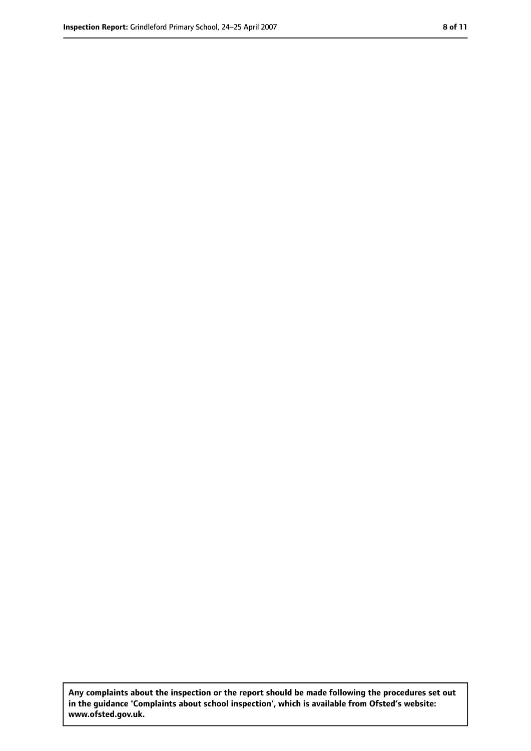**Any complaints about the inspection or the report should be made following the procedures set out in the guidance 'Complaints about school inspection', which is available from Ofsted's website: www.ofsted.gov.uk.**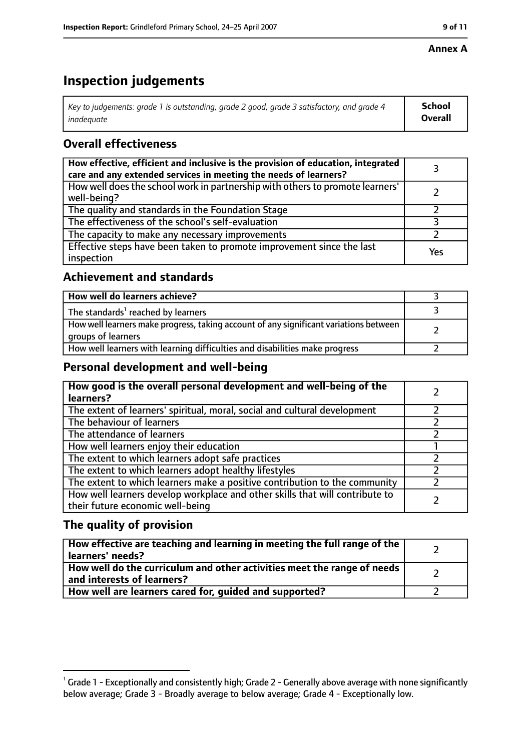#### **Annex A**

# **Inspection judgements**

| Key to judgements: grade 1 is outstanding, grade 2 good, grade 3 satisfactory, and grade 4 | <b>School</b>  |
|--------------------------------------------------------------------------------------------|----------------|
| inadeauate                                                                                 | <b>Overall</b> |

## **Overall effectiveness**

| How effective, efficient and inclusive is the provision of education, integrated<br>care and any extended services in meeting the needs of learners? |     |
|------------------------------------------------------------------------------------------------------------------------------------------------------|-----|
| How well does the school work in partnership with others to promote learners'<br>well-being?                                                         |     |
| The quality and standards in the Foundation Stage                                                                                                    |     |
| The effectiveness of the school's self-evaluation                                                                                                    |     |
| The capacity to make any necessary improvements                                                                                                      |     |
| Effective steps have been taken to promote improvement since the last<br>inspection                                                                  | Yes |

## **Achievement and standards**

| How well do learners achieve?                                                                               |  |
|-------------------------------------------------------------------------------------------------------------|--|
| The standards <sup>1</sup> reached by learners                                                              |  |
| How well learners make progress, taking account of any significant variations between<br>groups of learners |  |
| How well learners with learning difficulties and disabilities make progress                                 |  |

#### **Personal development and well-being**

| How good is the overall personal development and well-being of the<br>learners?                                  |  |
|------------------------------------------------------------------------------------------------------------------|--|
| The extent of learners' spiritual, moral, social and cultural development                                        |  |
| The behaviour of learners                                                                                        |  |
| The attendance of learners                                                                                       |  |
| How well learners enjoy their education                                                                          |  |
| The extent to which learners adopt safe practices                                                                |  |
| The extent to which learners adopt healthy lifestyles                                                            |  |
| The extent to which learners make a positive contribution to the community                                       |  |
| How well learners develop workplace and other skills that will contribute to<br>their future economic well-being |  |

#### **The quality of provision**

| How effective are teaching and learning in meeting the full range of the<br>learners' needs?          |  |
|-------------------------------------------------------------------------------------------------------|--|
| How well do the curriculum and other activities meet the range of needs<br>and interests of learners? |  |
| How well are learners cared for, guided and supported?                                                |  |

 $^1$  Grade 1 - Exceptionally and consistently high; Grade 2 - Generally above average with none significantly below average; Grade 3 - Broadly average to below average; Grade 4 - Exceptionally low.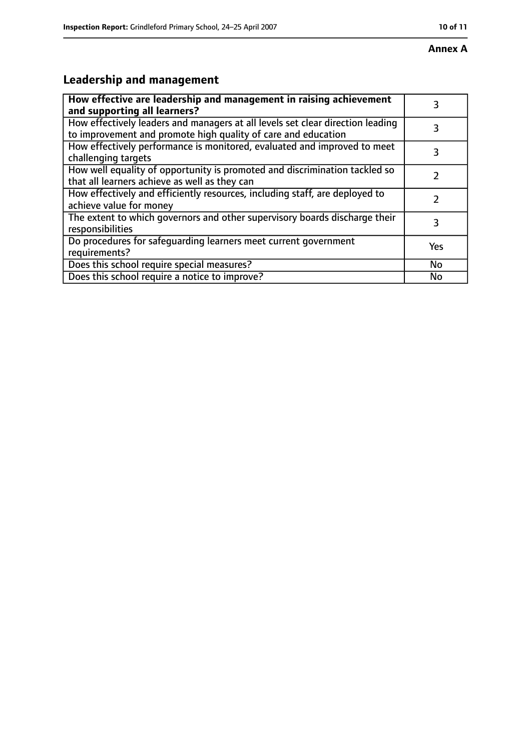# **Leadership and management**

| How effective are leadership and management in raising achievement<br>and supporting all learners?                                              | 3   |
|-------------------------------------------------------------------------------------------------------------------------------------------------|-----|
| How effectively leaders and managers at all levels set clear direction leading<br>to improvement and promote high quality of care and education |     |
| How effectively performance is monitored, evaluated and improved to meet<br>challenging targets                                                 | 3   |
| How well equality of opportunity is promoted and discrimination tackled so<br>that all learners achieve as well as they can                     |     |
| How effectively and efficiently resources, including staff, are deployed to<br>achieve value for money                                          | 7   |
| The extent to which governors and other supervisory boards discharge their<br>responsibilities                                                  | 3   |
| Do procedures for safequarding learners meet current government<br>requirements?                                                                | Yes |
| Does this school require special measures?                                                                                                      | No  |
| Does this school require a notice to improve?                                                                                                   | No  |